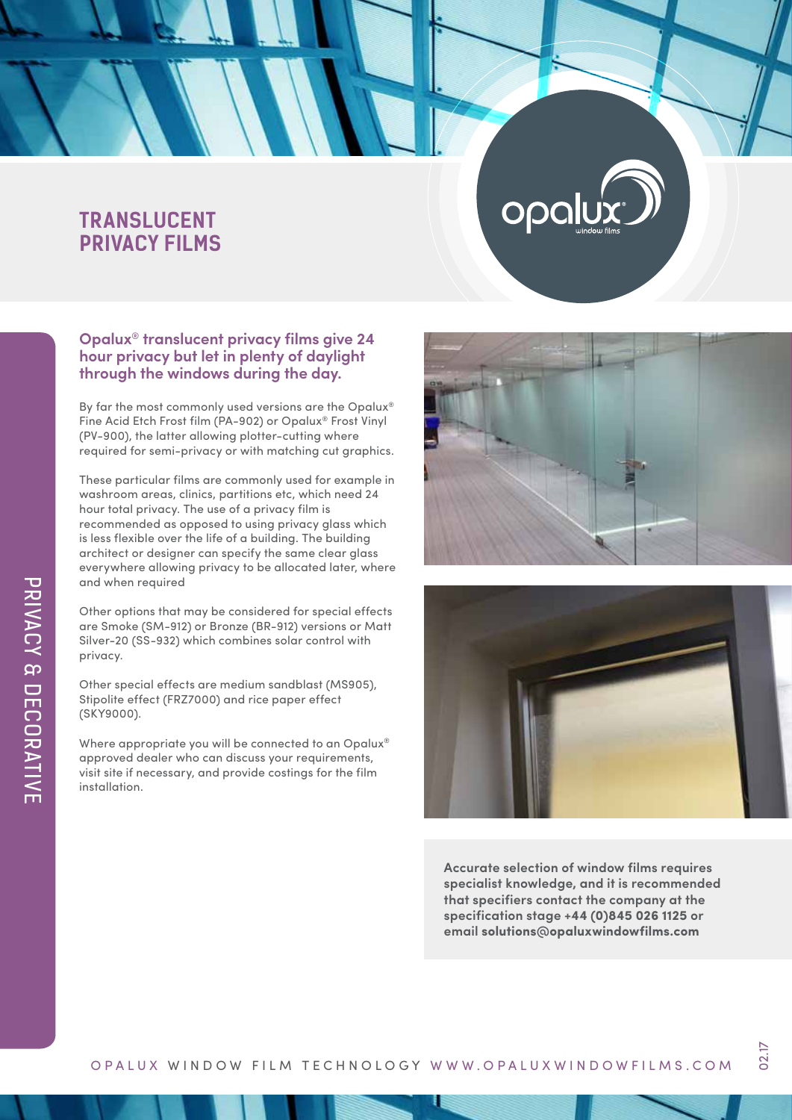## **TRANSLUCENT PRIVACY FILMS**

### **Opalux® translucent privacy films give 24 hour privacy but let in plenty of daylight through the windows during the day.**

By far the most commonly used versions are the Opalux® Fine Acid Etch Frost film (PA-902) or Opalux® Frost Vinyl (PV-900), the latter allowing plotter-cutting where required for semi-privacy or with matching cut graphics.

These particular films are commonly used for example in washroom areas, clinics, partitions etc, which need 24 hour total privacy. The use of a privacy film is recommended as opposed to using privacy glass which is less flexible over the life of a building. The building architect or designer can specify the same clear glass everywhere allowing privacy to be allocated later, where and when required

Other options that may be considered for special effects are Smoke (SM-912) or Bronze (BR-912) versions or Matt Silver-20 (SS-932) which combines solar control with privacy.

Other special effects are medium sandblast (MS905), Stipolite effect (FRZ7000) and rice paper effect (SKY9000).

Where appropriate you will be connected to an Opalux® approved dealer who can discuss your requirements, visit site if necessary, and provide costings for the film installation.



Opa



**Accurate selection of window films requires specialist knowledge, and it is recommended that specifiers contact the company at the specification stage +44 (0)845 026 1125 or email solutions@opaluxwindowfilms.com**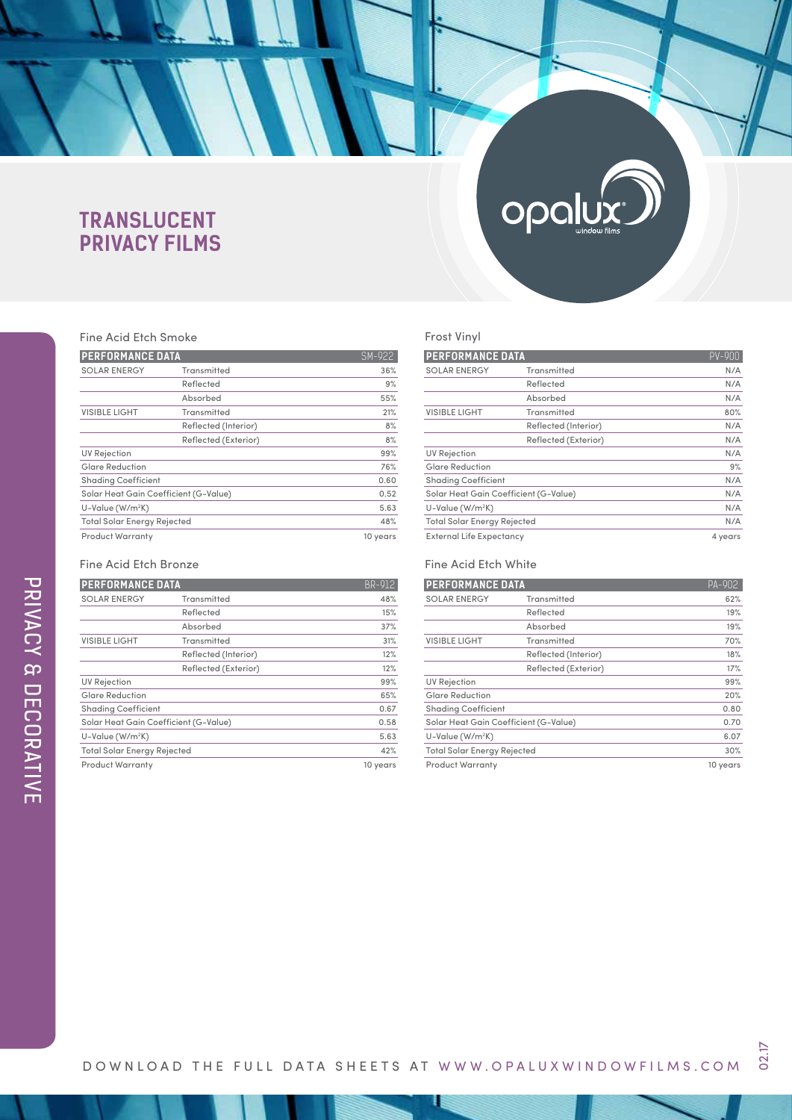# **TRANSLUCENT PRIVACY FILMS**

## Fine Acid Etch Smoke

| FINE ACIO FICH SHIOKE                 |                      |          |  |
|---------------------------------------|----------------------|----------|--|
| <b>PERFORMANCE DATA</b>               | SM-922               |          |  |
| <b>SOLAR ENERGY</b><br>Transmitted    |                      | 36%      |  |
|                                       | Reflected            | 9%       |  |
|                                       | Absorbed             | 55%      |  |
| <b>VISIBLE LIGHT</b>                  | <b>Transmitted</b>   | 21%      |  |
|                                       | Reflected (Interior) | 8%       |  |
|                                       | Reflected (Exterior) | 8%       |  |
| <b>UV Rejection</b>                   |                      | 99%      |  |
| <b>Glare Reduction</b>                |                      | 76%      |  |
| <b>Shading Coefficient</b>            |                      | 0.60     |  |
| Solar Heat Gain Coefficient (G-Value) |                      | 0.52     |  |
| U-Value (W/m <sup>2</sup> K)          |                      | 5.63     |  |
| <b>Total Solar Energy Rejected</b>    |                      | 48%      |  |
| Product Warranty                      |                      | 10 years |  |

#### Fine Acid Etch Bronze

| <b>PERFORMANCE DATA</b>               |                      | <b>BR-912</b> |
|---------------------------------------|----------------------|---------------|
| <b>SOLAR ENERGY</b>                   | Transmitted          | 48%           |
|                                       | Reflected            | 15%           |
|                                       | Absorbed             | 37%           |
| <b>VISIBLE LIGHT</b>                  | Transmitted          | 31%           |
|                                       | Reflected (Interior) | 12%           |
|                                       | Reflected (Exterior) | 12%           |
| <b>UV Rejection</b>                   |                      | 99%           |
| <b>Glare Reduction</b>                |                      | 65%           |
| <b>Shading Coefficient</b>            |                      | 0.67          |
| Solar Heat Gain Coefficient (G-Value) |                      | 0.58          |
| $U-Value (W/m2K)$                     |                      | 5.63          |
| <b>Total Solar Energy Rejected</b>    |                      | 42%           |
| <b>Product Warranty</b>               |                      | 10 years      |

# opalu

#### Frost Vinyl

| <b>PERFORMANCE DATA</b>               |                      | $PV-90$ |
|---------------------------------------|----------------------|---------|
| <b>SOLAR ENERGY</b>                   | Transmitted          | N/A     |
|                                       | Reflected            | N/A     |
|                                       | Absorbed             | N/A     |
| <b>VISIBLE LIGHT</b>                  | Transmitted          | 80%     |
|                                       | Reflected (Interior) | N/A     |
|                                       | Reflected (Exterior) | N/A     |
| <b>UV Rejection</b>                   |                      | N/A     |
| <b>Glare Reduction</b>                |                      | 9%      |
| <b>Shading Coefficient</b>            |                      | N/A     |
| Solar Heat Gain Coefficient (G-Value) |                      | N/A     |
| U-Value (W/m <sup>2</sup> K)          |                      | N/A     |
| <b>Total Solar Energy Rejected</b>    |                      | N/A     |
| External Life Expectancy              |                      | 4 years |

#### Fine Acid Etch White

| <b>PERFORMANCE DATA</b>               | PA-902               |          |
|---------------------------------------|----------------------|----------|
| <b>SOLAR ENERGY</b><br>Transmitted    |                      | 62%      |
|                                       | Reflected            | 19%      |
|                                       | Absorbed             | 19%      |
| <b>VISIBLE LIGHT</b>                  | Transmitted          | 70%      |
|                                       | Reflected (Interior) | 18%      |
|                                       | Reflected (Exterior) | 17%      |
| <b>UV Rejection</b>                   |                      | 99%      |
| <b>Glare Reduction</b>                |                      | 20%      |
| <b>Shading Coefficient</b>            |                      | 0.80     |
| Solar Heat Gain Coefficient (G-Value) |                      | 0.70     |
| $U-Value (W/m2K)$                     |                      | 6.07     |
| <b>Total Solar Energy Rejected</b>    |                      | 30%      |
| <b>Product Warranty</b>               |                      | 10 years |